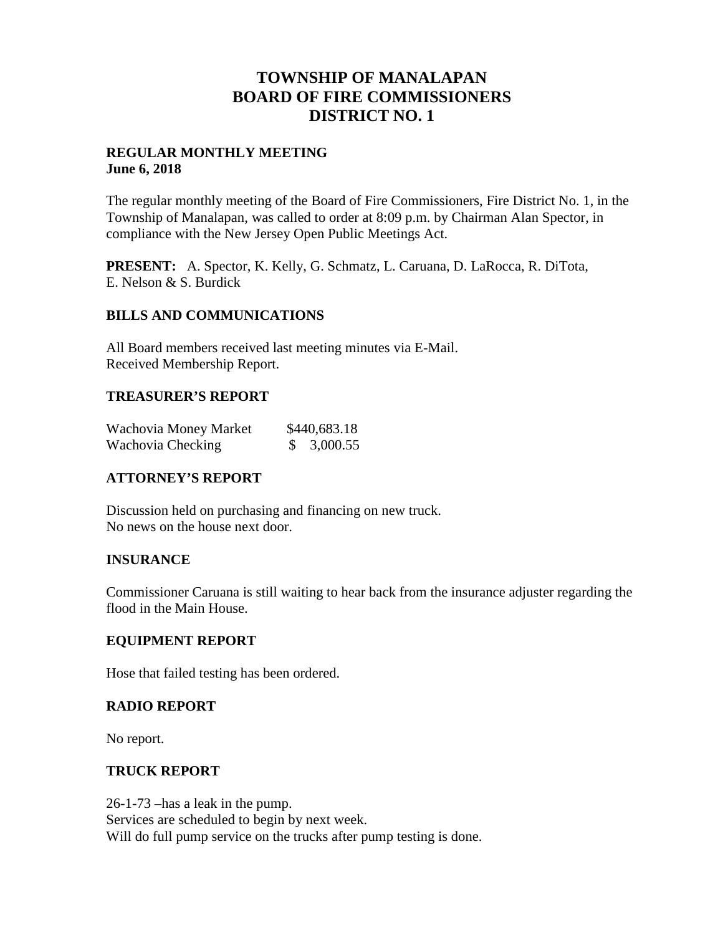## **TOWNSHIP OF MANALAPAN BOARD OF FIRE COMMISSIONERS DISTRICT NO. 1**

### **REGULAR MONTHLY MEETING June 6, 2018**

The regular monthly meeting of the Board of Fire Commissioners, Fire District No. 1, in the Township of Manalapan, was called to order at 8:09 p.m. by Chairman Alan Spector, in compliance with the New Jersey Open Public Meetings Act.

**PRESENT:** A. Spector, K. Kelly, G. Schmatz, L. Caruana, D. LaRocca, R. DiTota, E. Nelson & S. Burdick

### **BILLS AND COMMUNICATIONS**

All Board members received last meeting minutes via E-Mail. Received Membership Report.

### **TREASURER'S REPORT**

| Wachovia Money Market | \$440,683.18 |
|-----------------------|--------------|
| Wachovia Checking     | \$3,000.55   |

## **ATTORNEY'S REPORT**

Discussion held on purchasing and financing on new truck. No news on the house next door.

## **INSURANCE**

Commissioner Caruana is still waiting to hear back from the insurance adjuster regarding the flood in the Main House.

### **EQUIPMENT REPORT**

Hose that failed testing has been ordered.

### **RADIO REPORT**

No report.

### **TRUCK REPORT**

26-1-73 –has a leak in the pump. Services are scheduled to begin by next week. Will do full pump service on the trucks after pump testing is done.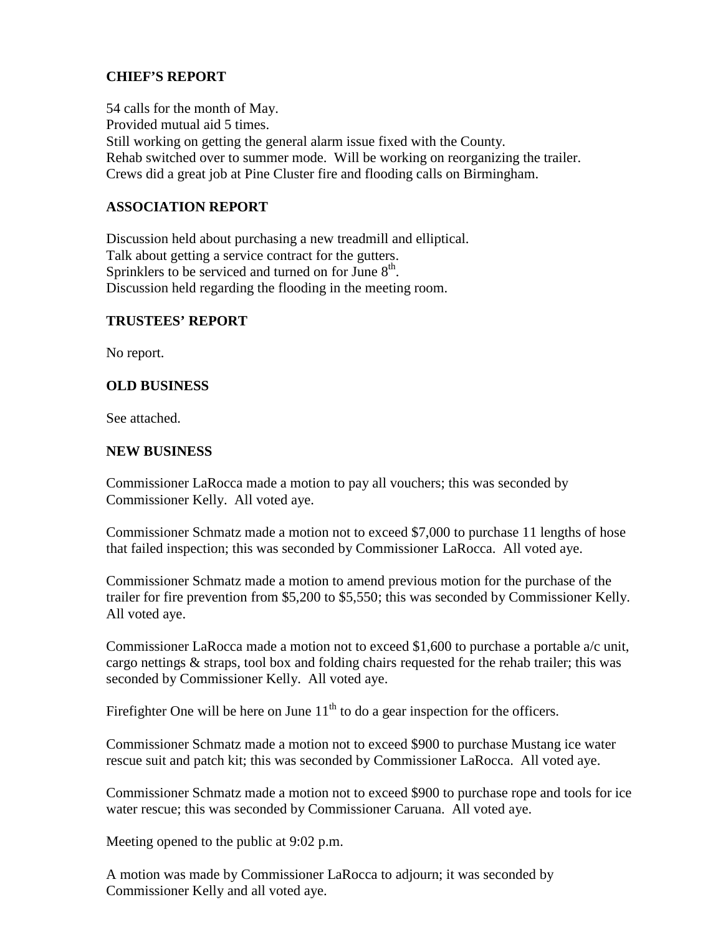## **CHIEF'S REPORT**

54 calls for the month of May. Provided mutual aid 5 times. Still working on getting the general alarm issue fixed with the County. Rehab switched over to summer mode. Will be working on reorganizing the trailer. Crews did a great job at Pine Cluster fire and flooding calls on Birmingham.

## **ASSOCIATION REPORT**

Discussion held about purchasing a new treadmill and elliptical. Talk about getting a service contract for the gutters. Sprinklers to be serviced and turned on for June  $8<sup>th</sup>$ . Discussion held regarding the flooding in the meeting room.

### **TRUSTEES' REPORT**

No report.

### **OLD BUSINESS**

See attached.

#### **NEW BUSINESS**

Commissioner LaRocca made a motion to pay all vouchers; this was seconded by Commissioner Kelly. All voted aye.

Commissioner Schmatz made a motion not to exceed \$7,000 to purchase 11 lengths of hose that failed inspection; this was seconded by Commissioner LaRocca. All voted aye.

Commissioner Schmatz made a motion to amend previous motion for the purchase of the trailer for fire prevention from \$5,200 to \$5,550; this was seconded by Commissioner Kelly. All voted aye.

Commissioner LaRocca made a motion not to exceed \$1,600 to purchase a portable a/c unit, cargo nettings & straps, tool box and folding chairs requested for the rehab trailer; this was seconded by Commissioner Kelly. All voted aye.

Firefighter One will be here on June  $11<sup>th</sup>$  to do a gear inspection for the officers.

Commissioner Schmatz made a motion not to exceed \$900 to purchase Mustang ice water rescue suit and patch kit; this was seconded by Commissioner LaRocca. All voted aye.

Commissioner Schmatz made a motion not to exceed \$900 to purchase rope and tools for ice water rescue; this was seconded by Commissioner Caruana. All voted aye.

Meeting opened to the public at 9:02 p.m.

A motion was made by Commissioner LaRocca to adjourn; it was seconded by Commissioner Kelly and all voted aye.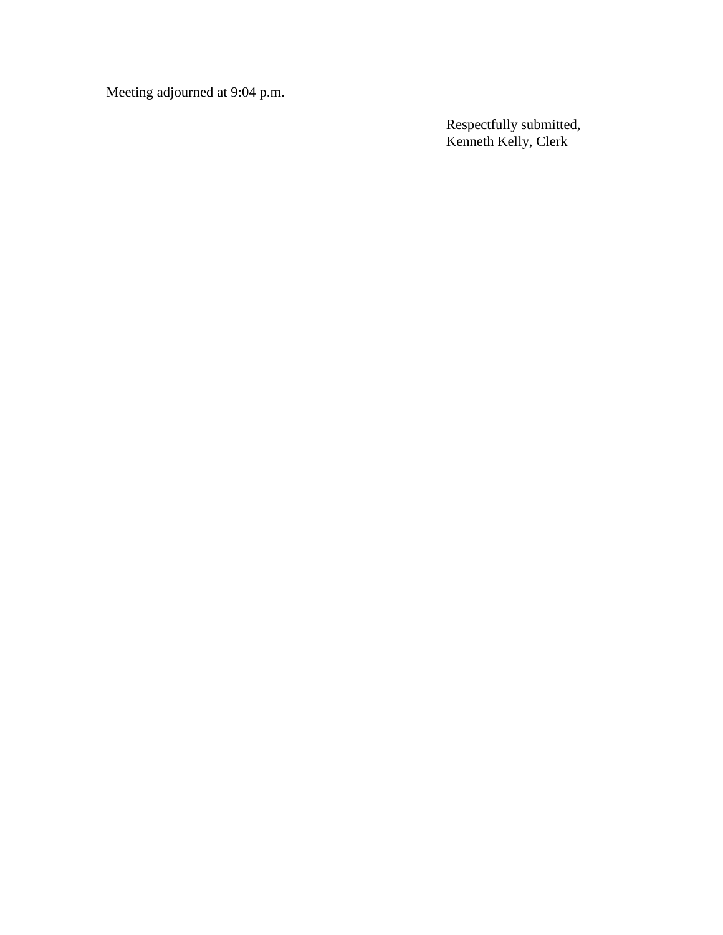Meeting adjourned at 9:04 p.m.

Respectfully submitted, Kenneth Kelly, Clerk